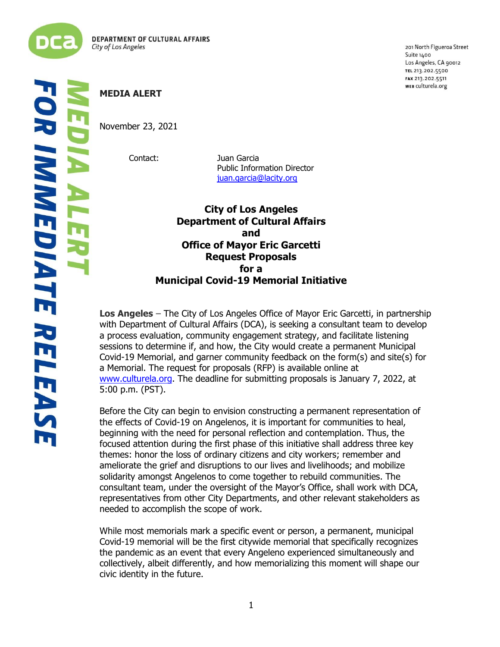

ļ į 201 North Figueroa Street Suite 1400 Los Angeles, CA 90012 TEL 213.202.5500 FAX 213.202.5511 WEB culturela.org

November 23, 2021

Contact: Juan Garcia Public Information Director [juan.garcia@lacity.org](mailto:juan.garcia@lacity.org)

> **City of Los Angeles Department of Cultural Affairs and Office of Mayor Eric Garcetti Request Proposals for a Municipal Covid-19 Memorial Initiative**

**Los Angeles** – The City of Los Angeles Office of Mayor Eric Garcetti, in partnership with Department of Cultural Affairs (DCA), is seeking a consultant team to develop a process evaluation, community engagement strategy, and facilitate listening sessions to determine if, and how, the City would create a permanent Municipal Covid-19 Memorial, and garner community feedback on the form(s) and site(s) for a Memorial. The request for proposals (RFP) is available online at [www.culturela.org.](http://www.culturela.org/) The deadline for submitting proposals is January 7, 2022, at 5:00 p.m. (PST).

Before the City can begin to envision constructing a permanent representation of the effects of Covid-19 on Angelenos, it is important for communities to heal, beginning with the need for personal reflection and contemplation. Thus, the focused attention during the first phase of this initiative shall address three key themes: honor the loss of ordinary citizens and city workers; remember and ameliorate the grief and disruptions to our lives and livelihoods; and mobilize solidarity amongst Angelenos to come together to rebuild communities. The consultant team, under the oversight of the Mayor's Office, shall work with DCA, representatives from other City Departments, and other relevant stakeholders as needed to accomplish the scope of work.

While most memorials mark a specific event or person, a permanent, municipal Covid-19 memorial will be the first citywide memorial that specifically recognizes the pandemic as an event that every Angeleno experienced simultaneously and collectively, albeit differently, and how memorializing this moment will shape our civic identity in the future.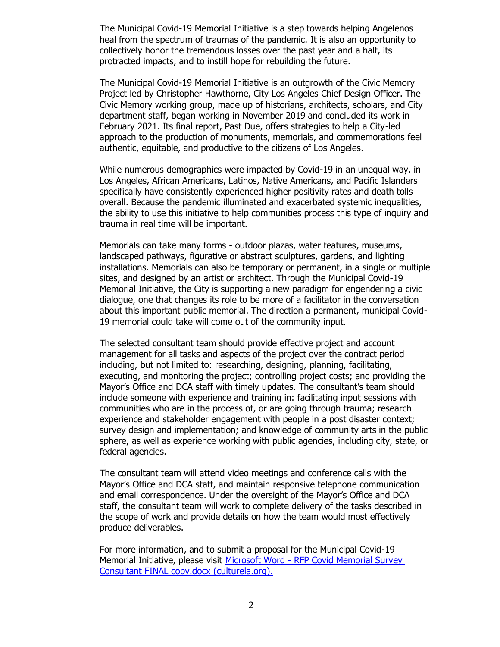The Municipal Covid-19 Memorial Initiative is a step towards helping Angelenos heal from the spectrum of traumas of the pandemic. It is also an opportunity to collectively honor the tremendous losses over the past year and a half, its protracted impacts, and to instill hope for rebuilding the future.

The Municipal Covid-19 Memorial Initiative is an outgrowth of the Civic Memory Project led by Christopher Hawthorne, City Los Angeles Chief Design Officer. The Civic Memory working group, made up of historians, architects, scholars, and City department staff, began working in November 2019 and concluded its work in February 2021. Its final report, Past Due, offers strategies to help a City-led approach to the production of monuments, memorials, and commemorations feel authentic, equitable, and productive to the citizens of Los Angeles.

While numerous demographics were impacted by Covid-19 in an unequal way, in Los Angeles, African Americans, Latinos, Native Americans, and Pacific Islanders specifically have consistently experienced higher positivity rates and death tolls overall. Because the pandemic illuminated and exacerbated systemic inequalities, the ability to use this initiative to help communities process this type of inquiry and trauma in real time will be important.

Memorials can take many forms - outdoor plazas, water features, museums, landscaped pathways, figurative or abstract sculptures, gardens, and lighting installations. Memorials can also be temporary or permanent, in a single or multiple sites, and designed by an artist or architect. Through the Municipal Covid-19 Memorial Initiative, the City is supporting a new paradigm for engendering a civic dialogue, one that changes its role to be more of a facilitator in the conversation about this important public memorial. The direction a permanent, municipal Covid-19 memorial could take will come out of the community input.

The selected consultant team should provide effective project and account management for all tasks and aspects of the project over the contract period including, but not limited to: researching, designing, planning, facilitating, executing, and monitoring the project; controlling project costs; and providing the Mayor's Office and DCA staff with timely updates. The consultant's team should include someone with experience and training in: facilitating input sessions with communities who are in the process of, or are going through trauma; research experience and stakeholder engagement with people in a post disaster context; survey design and implementation; and knowledge of community arts in the public sphere, as well as experience working with public agencies, including city, state, or federal agencies.

The consultant team will attend video meetings and conference calls with the Mayor's Office and DCA staff, and maintain responsive telephone communication and email correspondence. Under the oversight of the Mayor's Office and DCA staff, the consultant team will work to complete delivery of the tasks described in the scope of work and provide details on how the team would most effectively produce deliverables.

For more information, and to submit a proposal for the Municipal Covid-19 Memorial Initiative, please visit Microsoft Word - [RFP Covid Memorial Survey](https://culturela.org/wp-content/uploads/2021/11/RFP-Covid-Memorial-Survey-Consultant.pdf)  [Consultant FINAL copy.docx \(culturela.org\).](https://culturela.org/wp-content/uploads/2021/11/RFP-Covid-Memorial-Survey-Consultant.pdf)